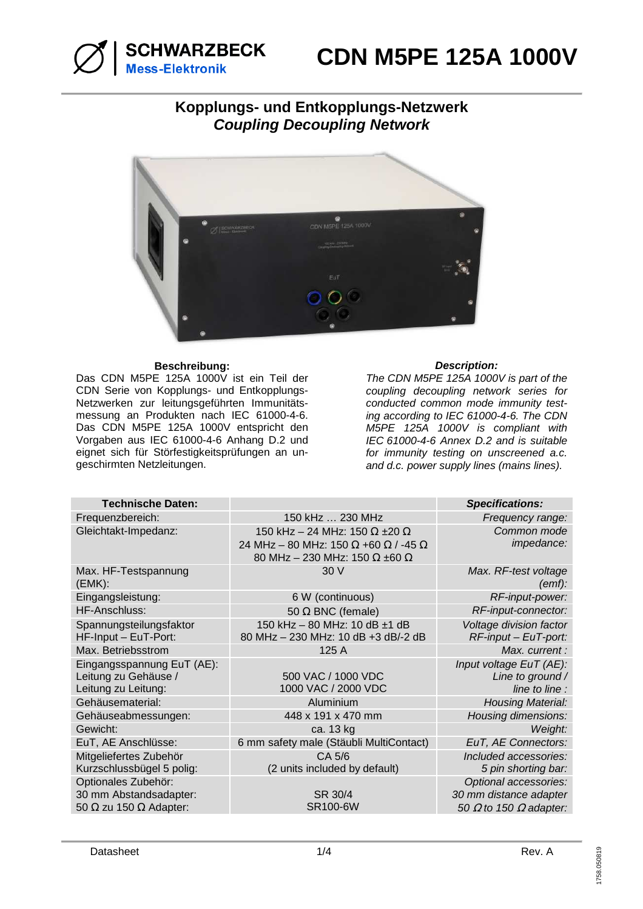

# **Kopplungs- und Entkopplungs-Netzwerk Coupling Decoupling Network**



## **Beschreibung: Description:**

Das CDN M5PE 125A 1000V ist ein Teil der CDN Serie von Kopplungs- und Entkopplungs-Netzwerken zur leitungsgeführten Immunitätsmessung an Produkten nach IEC 61000-4-6. Das CDN M5PE 125A 1000V entspricht den Vorgaben aus IEC 61000-4-6 Anhang D.2 und eignet sich für Störfestigkeitsprüfungen an ungeschirmten Netzleitungen.

The CDN M5PE 125A 1000V is part of the coupling decoupling network series for conducted common mode immunity testing according to IEC 61000-4-6. The CDN M5PE 125A 1000V is compliant with IEC 61000-4-6 Annex D.2 and is suitable for immunity testing on unscreened a.c. and d.c. power supply lines (mains lines).

| <b>Technische Daten:</b>             |                                             | <b>Specifications:</b>               |
|--------------------------------------|---------------------------------------------|--------------------------------------|
| Frequenzbereich:                     | 150 kHz  230 MHz                            | Frequency range:                     |
| Gleichtakt-Impedanz:                 | 150 kHz - 24 MHz: 150 $\Omega$ ±20 $\Omega$ | Common mode                          |
|                                      | 24 MHz - 80 MHz: 150 Ω +60 Ω / -45 Ω        | impedance:                           |
|                                      | 80 MHz - 230 MHz: 150 $\Omega$ ±60 $\Omega$ |                                      |
| Max. HF-Testspannung<br>(EMK):       | 30 V                                        | Max. RF-test voltage<br>(emf):       |
| Eingangsleistung:                    | 6 W (continuous)                            | RF-input-power:                      |
| HF-Anschluss:                        | 50 $\Omega$ BNC (female)                    | RF-input-connector:                  |
| Spannungsteilungsfaktor              | 150 kHz - 80 MHz: 10 dB ±1 dB               | Voltage division factor              |
| HF-Input - EuT-Port:                 | 80 MHz - 230 MHz: 10 dB +3 dB/-2 dB         | $RF$ -input – EuT-port:              |
| Max. Betriebsstrom                   | 125 A                                       | Max. current:                        |
| Eingangsspannung EuT (AE):           |                                             | Input voltage EuT (AE):              |
| Leitung zu Gehäuse /                 | 500 VAC / 1000 VDC                          | Line to ground /                     |
| Leitung zu Leitung:                  | 1000 VAC / 2000 VDC                         | line to line :                       |
| Gehäusematerial:                     | Aluminium                                   | <b>Housing Material:</b>             |
| Gehäuseabmessungen:                  | 448 x 191 x 470 mm                          | Housing dimensions:                  |
| Gewicht:                             | ca. 13 kg                                   | Weight:                              |
| EuT, AE Anschlüsse:                  | 6 mm safety male (Stäubli MultiContact)     | EuT, AE Connectors:                  |
| Mitgeliefertes Zubehör               | CA 5/6                                      | Included accessories:                |
| Kurzschlussbügel 5 polig:            | (2 units included by default)               | 5 pin shorting bar:                  |
| Optionales Zubehör:                  |                                             | Optional accessories:                |
| 30 mm Abstandsadapter:               | SR 30/4                                     | 30 mm distance adapter               |
| 50 $\Omega$ zu 150 $\Omega$ Adapter: | <b>SR100-6W</b>                             | 50 $\Omega$ to 150 $\Omega$ adapter: |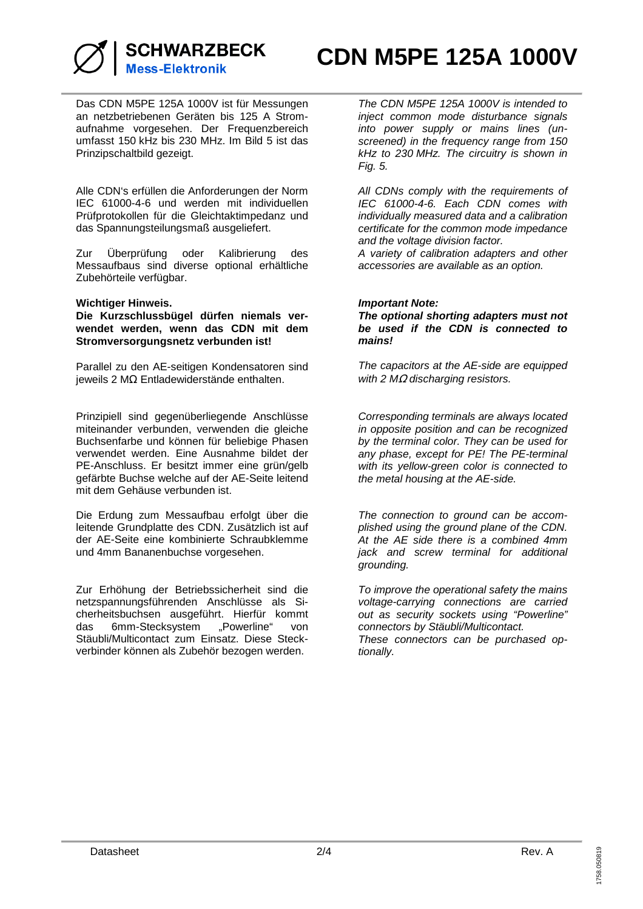

**CDN M5PE 125A 1000V**

Das CDN M5PE 125A 1000V ist für Messungen an netzbetriebenen Geräten bis 125 A Stromaufnahme vorgesehen. Der Frequenzbereich umfasst 150 kHz bis 230 MHz. Im Bild 5 ist das Prinzipschaltbild gezeigt.

Alle CDN's erfüllen die Anforderungen der Norm IEC 61000-4-6 und werden mit individuellen Prüfprotokollen für die Gleichtaktimpedanz und das Spannungsteilungsmaß ausgeliefert.

Zur Überprüfung oder Kalibrierung des Messaufbaus sind diverse optional erhältliche Zubehörteile verfügbar.

## **Wichtiger Hinweis.**

**Die Kurzschlussbügel dürfen niemals verwendet werden, wenn das CDN mit dem Stromversorgungsnetz verbunden ist!** 

Parallel zu den AE-seitigen Kondensatoren sind jeweils 2 MΩ Entladewiderstände enthalten.

Prinzipiell sind gegenüberliegende Anschlüsse miteinander verbunden, verwenden die gleiche Buchsenfarbe und können für beliebige Phasen verwendet werden. Eine Ausnahme bildet der PE-Anschluss. Er besitzt immer eine grün/gelb gefärbte Buchse welche auf der AE-Seite leitend mit dem Gehäuse verbunden ist.

Die Erdung zum Messaufbau erfolgt über die leitende Grundplatte des CDN. Zusätzlich ist auf der AE-Seite eine kombinierte Schraubklemme und 4mm Bananenbuchse vorgesehen.

Zur Erhöhung der Betriebssicherheit sind die netzspannungsführenden Anschlüsse als Sicherheitsbuchsen ausgeführt. Hierfür kommt das 6mm-Stecksystem "Powerline" von Stäubli/Multicontact zum Einsatz. Diese Steckverbinder können als Zubehör bezogen werden.

The CDN M5PE 125A 1000V is intended to inject common mode disturbance signals into power supply or mains lines (unscreened) in the frequency range from 150 kHz to 230 MHz. The circuitry is shown in Fig. 5.

All CDNs comply with the requirements of IEC 61000-4-6. Each CDN comes with individually measured data and a calibration certificate for the common mode impedance and the voltage division factor.

A variety of calibration adapters and other accessories are available as an option.

## **Important Note:**

**The optional shorting adapters must not be used if the CDN is connected to mains!** 

The capacitors at the AE-side are equipped with 2 MΩ discharging resistors.

Corresponding terminals are always located in opposite position and can be recognized by the terminal color. They can be used for any phase, except for PE! The PE-terminal with its yellow-green color is connected to the metal housing at the AE-side.

The connection to ground can be accomplished using the ground plane of the CDN. At the AE side there is a combined 4mm jack and screw terminal for additional grounding.

To improve the operational safety the mains voltage-carrying connections are carried out as security sockets using "Powerline" connectors by Stäubli/Multicontact. These connectors can be purchased op-

tionally.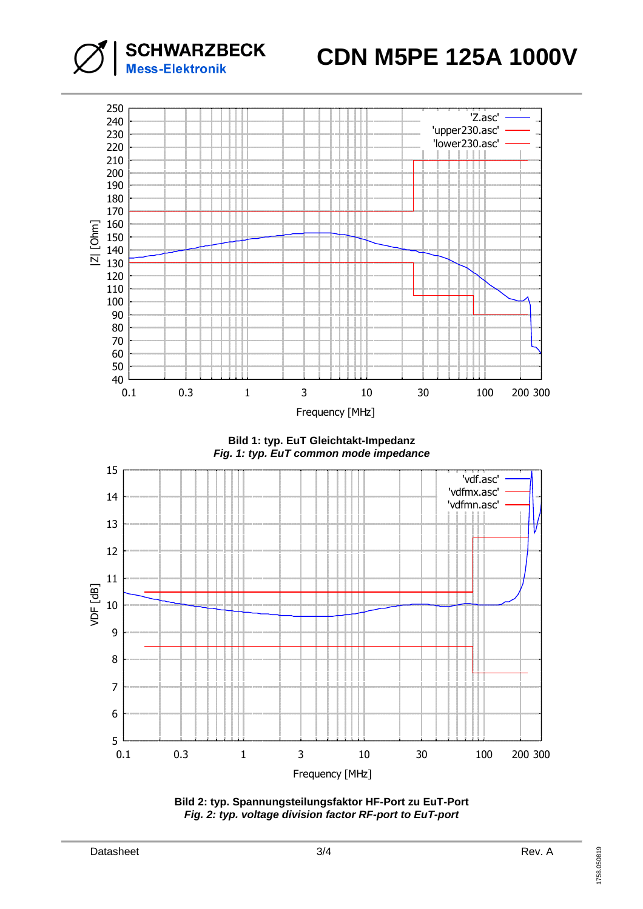

**SCHWARZBECK**<br>Mess-Elektronik

**Bild 1: typ. EuT Gleichtakt-Impedanz Fig. 1: typ. EuT common mode impedance**